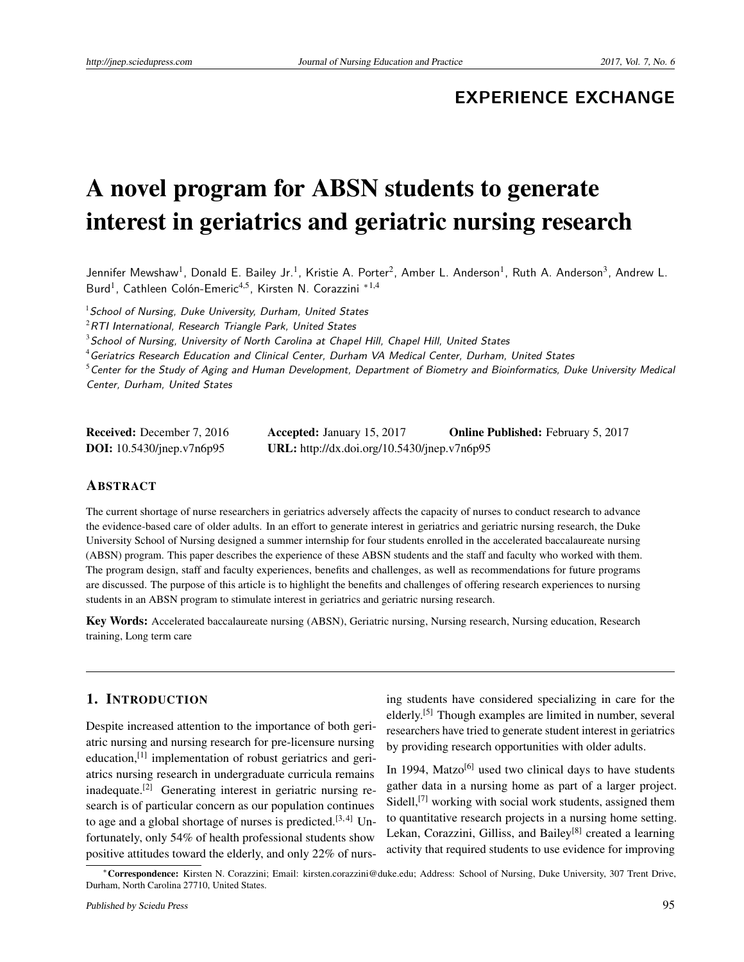# **EXPERIENCE EXCHANGE**

# A novel program for ABSN students to generate interest in geriatrics and geriatric nursing research

Jennifer Mewshaw<sup>1</sup>, Donald E. Bailey Jr.<sup>1</sup>, Kristie A. Porter<sup>2</sup>, Amber L. Anderson<sup>1</sup>, Ruth A. Anderson<sup>3</sup>, Andrew L. Burd<sup>1</sup>, Cathleen Colón-Emeric<sup>4,5</sup>, Kirsten N. Corazzini \*<sup>1,4</sup>

 $1$  School of Nursing, Duke University, Durham, United States

 $2$ RTI International, Research Triangle Park, United States

<sup>3</sup> School of Nursing, University of North Carolina at Chapel Hill, Chapel Hill, United States

<sup>4</sup>Geriatrics Research Education and Clinical Center, Durham VA Medical Center, Durham, United States

 $^5$ Center for the Study of Aging and Human Development, Department of Biometry and Bioinformatics, Duke University Medical Center, Durham, United States

| <b>Received:</b> December 7, 2016  | <b>Accepted:</b> January 15, 2017           | <b>Online Published:</b> February 5, 2017 |
|------------------------------------|---------------------------------------------|-------------------------------------------|
| <b>DOI:</b> $10.5430/jnep.v7n6p95$ | URL: http://dx.doi.org/10.5430/jnep.v7n6p95 |                                           |

#### ABSTRACT

The current shortage of nurse researchers in geriatrics adversely affects the capacity of nurses to conduct research to advance the evidence-based care of older adults. In an effort to generate interest in geriatrics and geriatric nursing research, the Duke University School of Nursing designed a summer internship for four students enrolled in the accelerated baccalaureate nursing (ABSN) program. This paper describes the experience of these ABSN students and the staff and faculty who worked with them. The program design, staff and faculty experiences, benefits and challenges, as well as recommendations for future programs are discussed. The purpose of this article is to highlight the benefits and challenges of offering research experiences to nursing students in an ABSN program to stimulate interest in geriatrics and geriatric nursing research.

Key Words: Accelerated baccalaureate nursing (ABSN), Geriatric nursing, Nursing research, Nursing education, Research training, Long term care

#### 1. INTRODUCTION

Despite increased attention to the importance of both geriatric nursing and nursing research for pre-licensure nursing education,<sup>[\[1\]](#page-4-0)</sup> implementation of robust geriatrics and geriatrics nursing research in undergraduate curricula remains inadequate.[\[2\]](#page-4-1) Generating interest in geriatric nursing research is of particular concern as our population continues to age and a global shortage of nurses is predicted.<sup>[\[3,](#page-4-2)[4\]](#page-4-3)</sup> Unfortunately, only 54% of health professional students show positive attitudes toward the elderly, and only 22% of nurs-

ing students have considered specializing in care for the elderly.[\[5\]](#page-4-4) Though examples are limited in number, several researchers have tried to generate student interest in geriatrics by providing research opportunities with older adults.

In 1994, Matzo<sup>[\[6\]](#page-4-5)</sup> used two clinical days to have students gather data in a nursing home as part of a larger project. Sidell,<sup>[\[7\]](#page-4-6)</sup> working with social work students, assigned them to quantitative research projects in a nursing home setting. Lekan, Corazzini, Gilliss, and Bailey<sup>[\[8\]](#page-4-7)</sup> created a learning activity that required students to use evidence for improving

<sup>∗</sup>Correspondence: Kirsten N. Corazzini; Email: kirsten.corazzini@duke.edu; Address: School of Nursing, Duke University, 307 Trent Drive, Durham, North Carolina 27710, United States.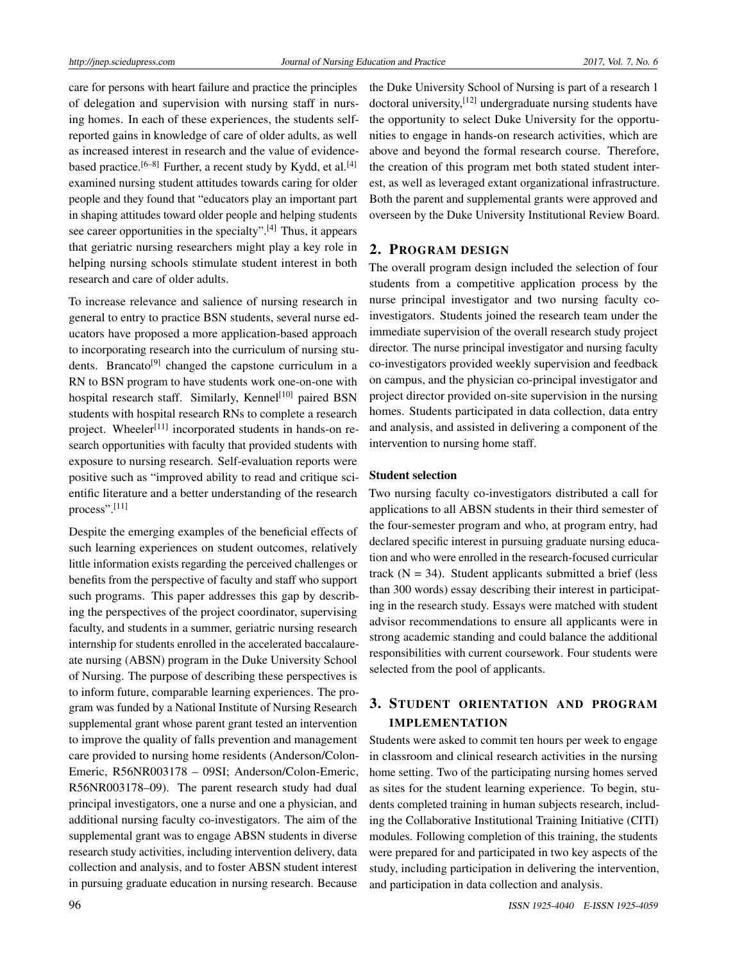care for persons with heart failure and practice the principles of delegation and supervision with nursing staff in nursing homes. In each of these experiences, the students selfreported gains in knowledge of care of older adults, as well as increased interest in research and the value of evidence-based practice.<sup>[\[6](#page-4-5)-8]</sup> Further, a recent study by Kydd, et al.<sup>[\[4\]](#page-4-3)</sup> examined nursing student attitudes towards caring for older people and they found that "educators play an important part in shaping attitudes toward older people and helping students see career opportunities in the specialty".[\[4\]](#page-4-3) Thus, it appears that geriatric nursing researchers might play a key role in helping nursing schools stimulate student interest in both research and care of older adults.

To increase relevance and salience of nursing research in general to entry to practice BSN students, several nurse educators have proposed a more application-based approach to incorporating research into the curriculum of nursing stu-dents. Brancato<sup>[\[9\]](#page-4-8)</sup> changed the capstone curriculum in a RN to BSN program to have students work one-on-one with hospital research staff. Similarly, Kennel<sup>[\[10\]](#page-4-9)</sup> paired BSN students with hospital research RNs to complete a research project. Wheeler<sup>[\[11\]](#page-4-10)</sup> incorporated students in hands-on research opportunities with faculty that provided students with exposure to nursing research. Self-evaluation reports were positive such as "improved ability to read and critique scientific literature and a better understanding of the research process".[\[11\]](#page-4-10)

Despite the emerging examples of the beneficial effects of such learning experiences on student outcomes, relatively little information exists regarding the perceived challenges or benefits from the perspective of faculty and staff who support such programs. This paper addresses this gap by describing the perspectives of the project coordinator, supervising faculty, and students in a summer, geriatric nursing research internship for students enrolled in the accelerated baccalaureate nursing (ABSN) program in the Duke University School of Nursing. The purpose of describing these perspectives is to inform future, comparable learning experiences. The program was funded by a National Institute of Nursing Research supplemental grant whose parent grant tested an intervention to improve the quality of falls prevention and management care provided to nursing home residents (Anderson/Colon-Emeric, R56NR003178 – 09SI; Anderson/Colon-Emeric, R56NR003178–09). The parent research study had dual principal investigators, one a nurse and one a physician, and additional nursing faculty co-investigators. The aim of the supplemental grant was to engage ABSN students in diverse research study activities, including intervention delivery, data collection and analysis, and to foster ABSN student interest in pursuing graduate education in nursing research. Because

the Duke University School of Nursing is part of a research 1 doctoral university,[\[12\]](#page-4-11) undergraduate nursing students have the opportunity to select Duke University for the opportunities to engage in hands-on research activities, which are above and beyond the formal research course. Therefore, the creation of this program met both stated student interest, as well as leveraged extant organizational infrastructure. Both the parent and supplemental grants were approved and overseen by the Duke University Institutional Review Board.

## 2. PROGRAM DESIGN

The overall program design included the selection of four students from a competitive application process by the nurse principal investigator and two nursing faculty coinvestigators. Students joined the research team under the immediate supervision of the overall research study project director. The nurse principal investigator and nursing faculty co-investigators provided weekly supervision and feedback on campus, and the physician co-principal investigator and project director provided on-site supervision in the nursing homes. Students participated in data collection, data entry and analysis, and assisted in delivering a component of the intervention to nursing home staff.

#### Student selection

Two nursing faculty co-investigators distributed a call for applications to all ABSN students in their third semester of the four-semester program and who, at program entry, had declared specific interest in pursuing graduate nursing education and who were enrolled in the research-focused curricular track  $(N = 34)$ . Student applicants submitted a brief (less than 300 words) essay describing their interest in participating in the research study. Essays were matched with student advisor recommendations to ensure all applicants were in strong academic standing and could balance the additional responsibilities with current coursework. Four students were selected from the pool of applicants.

# 3. STUDENT ORIENTATION AND PROGRAM IMPLEMENTATION

Students were asked to commit ten hours per week to engage in classroom and clinical research activities in the nursing home setting. Two of the participating nursing homes served as sites for the student learning experience. To begin, students completed training in human subjects research, including the Collaborative Institutional Training Initiative (CITI) modules. Following completion of this training, the students were prepared for and participated in two key aspects of the study, including participation in delivering the intervention, and participation in data collection and analysis.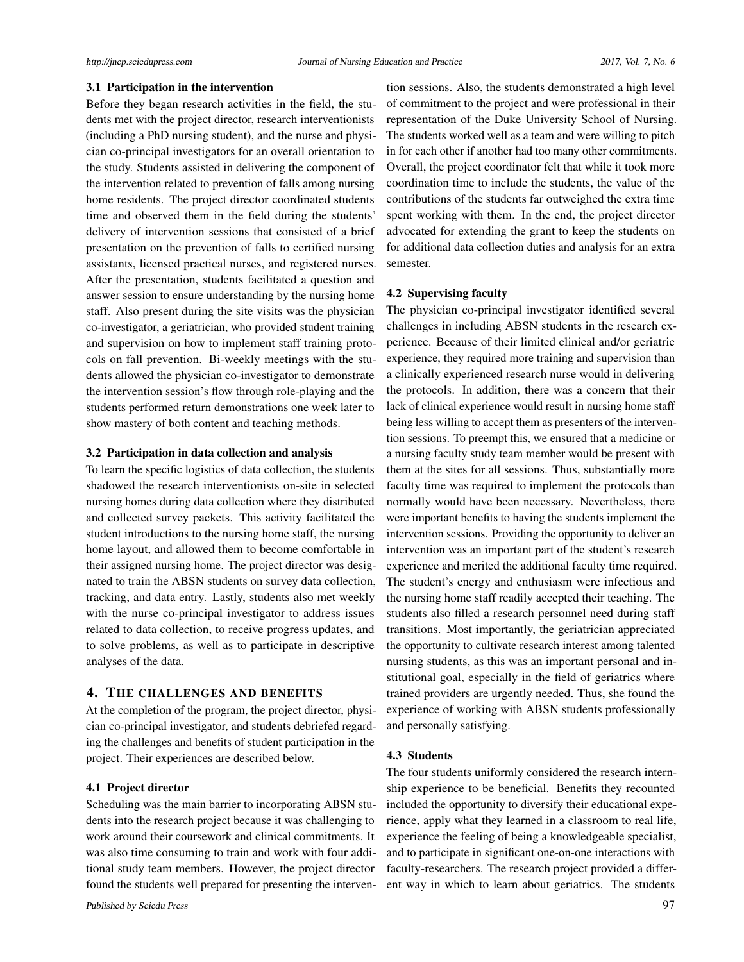#### 3.1 Participation in the intervention

Before they began research activities in the field, the students met with the project director, research interventionists (including a PhD nursing student), and the nurse and physician co-principal investigators for an overall orientation to the study. Students assisted in delivering the component of the intervention related to prevention of falls among nursing home residents. The project director coordinated students time and observed them in the field during the students' delivery of intervention sessions that consisted of a brief presentation on the prevention of falls to certified nursing assistants, licensed practical nurses, and registered nurses. After the presentation, students facilitated a question and answer session to ensure understanding by the nursing home staff. Also present during the site visits was the physician co-investigator, a geriatrician, who provided student training and supervision on how to implement staff training protocols on fall prevention. Bi-weekly meetings with the students allowed the physician co-investigator to demonstrate the intervention session's flow through role-playing and the students performed return demonstrations one week later to show mastery of both content and teaching methods.

#### 3.2 Participation in data collection and analysis

To learn the specific logistics of data collection, the students shadowed the research interventionists on-site in selected nursing homes during data collection where they distributed and collected survey packets. This activity facilitated the student introductions to the nursing home staff, the nursing home layout, and allowed them to become comfortable in their assigned nursing home. The project director was designated to train the ABSN students on survey data collection, tracking, and data entry. Lastly, students also met weekly with the nurse co-principal investigator to address issues related to data collection, to receive progress updates, and to solve problems, as well as to participate in descriptive analyses of the data.

#### 4. THE CHALLENGES AND BENEFITS

At the completion of the program, the project director, physician co-principal investigator, and students debriefed regarding the challenges and benefits of student participation in the project. Their experiences are described below.

#### 4.1 Project director

Scheduling was the main barrier to incorporating ABSN students into the research project because it was challenging to work around their coursework and clinical commitments. It was also time consuming to train and work with four additional study team members. However, the project director found the students well prepared for presenting the interven-

tion sessions. Also, the students demonstrated a high level of commitment to the project and were professional in their representation of the Duke University School of Nursing. The students worked well as a team and were willing to pitch in for each other if another had too many other commitments. Overall, the project coordinator felt that while it took more coordination time to include the students, the value of the contributions of the students far outweighed the extra time spent working with them. In the end, the project director advocated for extending the grant to keep the students on for additional data collection duties and analysis for an extra semester.

#### 4.2 Supervising faculty

The physician co-principal investigator identified several challenges in including ABSN students in the research experience. Because of their limited clinical and/or geriatric experience, they required more training and supervision than a clinically experienced research nurse would in delivering the protocols. In addition, there was a concern that their lack of clinical experience would result in nursing home staff being less willing to accept them as presenters of the intervention sessions. To preempt this, we ensured that a medicine or a nursing faculty study team member would be present with them at the sites for all sessions. Thus, substantially more faculty time was required to implement the protocols than normally would have been necessary. Nevertheless, there were important benefits to having the students implement the intervention sessions. Providing the opportunity to deliver an intervention was an important part of the student's research experience and merited the additional faculty time required. The student's energy and enthusiasm were infectious and the nursing home staff readily accepted their teaching. The students also filled a research personnel need during staff transitions. Most importantly, the geriatrician appreciated the opportunity to cultivate research interest among talented nursing students, as this was an important personal and institutional goal, especially in the field of geriatrics where trained providers are urgently needed. Thus, she found the experience of working with ABSN students professionally and personally satisfying.

#### 4.3 Students

The four students uniformly considered the research internship experience to be beneficial. Benefits they recounted included the opportunity to diversify their educational experience, apply what they learned in a classroom to real life, experience the feeling of being a knowledgeable specialist, and to participate in significant one-on-one interactions with faculty-researchers. The research project provided a different way in which to learn about geriatrics. The students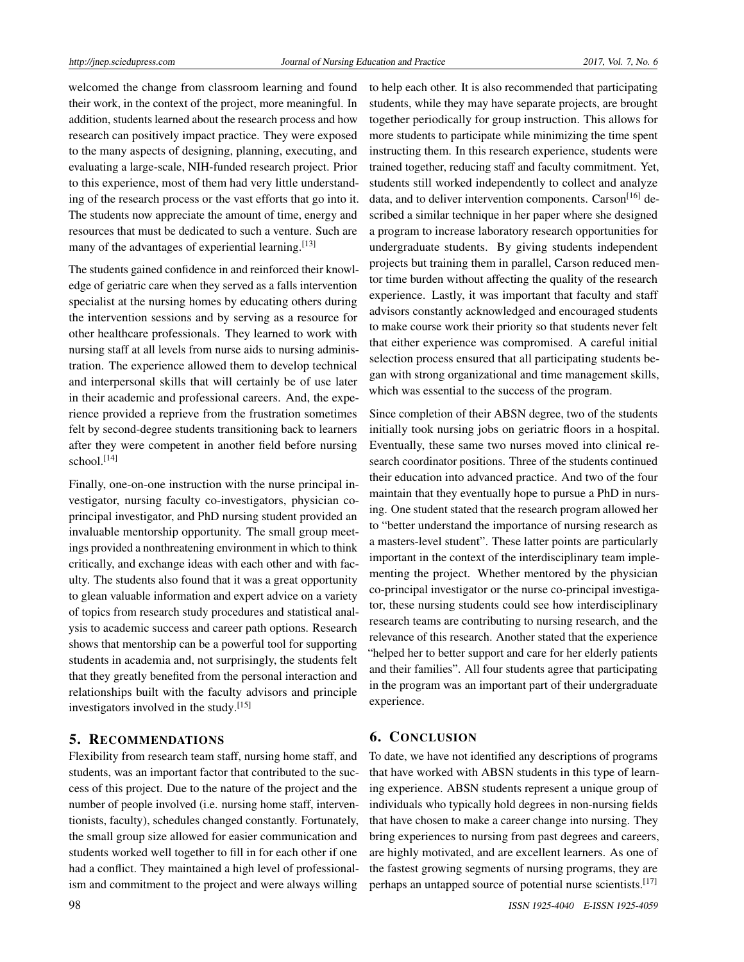welcomed the change from classroom learning and found their work, in the context of the project, more meaningful. In addition, students learned about the research process and how research can positively impact practice. They were exposed to the many aspects of designing, planning, executing, and evaluating a large-scale, NIH-funded research project. Prior to this experience, most of them had very little understanding of the research process or the vast efforts that go into it. The students now appreciate the amount of time, energy and resources that must be dedicated to such a venture. Such are many of the advantages of experiential learning.<sup>[\[13\]](#page-4-12)</sup>

The students gained confidence in and reinforced their knowledge of geriatric care when they served as a falls intervention specialist at the nursing homes by educating others during the intervention sessions and by serving as a resource for other healthcare professionals. They learned to work with nursing staff at all levels from nurse aids to nursing administration. The experience allowed them to develop technical and interpersonal skills that will certainly be of use later in their academic and professional careers. And, the experience provided a reprieve from the frustration sometimes felt by second-degree students transitioning back to learners after they were competent in another field before nursing school.<sup>[\[14\]](#page-4-13)</sup>

Finally, one-on-one instruction with the nurse principal investigator, nursing faculty co-investigators, physician coprincipal investigator, and PhD nursing student provided an invaluable mentorship opportunity. The small group meetings provided a nonthreatening environment in which to think critically, and exchange ideas with each other and with faculty. The students also found that it was a great opportunity to glean valuable information and expert advice on a variety of topics from research study procedures and statistical analysis to academic success and career path options. Research shows that mentorship can be a powerful tool for supporting students in academia and, not surprisingly, the students felt that they greatly benefited from the personal interaction and relationships built with the faculty advisors and principle investigators involved in the study.[\[15\]](#page-4-14)

#### 5. RECOMMENDATIONS

Flexibility from research team staff, nursing home staff, and students, was an important factor that contributed to the success of this project. Due to the nature of the project and the number of people involved (i.e. nursing home staff, interventionists, faculty), schedules changed constantly. Fortunately, the small group size allowed for easier communication and students worked well together to fill in for each other if one had a conflict. They maintained a high level of professionalism and commitment to the project and were always willing

to help each other. It is also recommended that participating students, while they may have separate projects, are brought together periodically for group instruction. This allows for more students to participate while minimizing the time spent instructing them. In this research experience, students were trained together, reducing staff and faculty commitment. Yet, students still worked independently to collect and analyze data, and to deliver intervention components. Carson<sup>[\[16\]](#page-4-15)</sup> described a similar technique in her paper where she designed a program to increase laboratory research opportunities for undergraduate students. By giving students independent projects but training them in parallel, Carson reduced mentor time burden without affecting the quality of the research experience. Lastly, it was important that faculty and staff advisors constantly acknowledged and encouraged students to make course work their priority so that students never felt that either experience was compromised. A careful initial selection process ensured that all participating students began with strong organizational and time management skills, which was essential to the success of the program.

Since completion of their ABSN degree, two of the students initially took nursing jobs on geriatric floors in a hospital. Eventually, these same two nurses moved into clinical research coordinator positions. Three of the students continued their education into advanced practice. And two of the four maintain that they eventually hope to pursue a PhD in nursing. One student stated that the research program allowed her to "better understand the importance of nursing research as a masters-level student". These latter points are particularly important in the context of the interdisciplinary team implementing the project. Whether mentored by the physician co-principal investigator or the nurse co-principal investigator, these nursing students could see how interdisciplinary research teams are contributing to nursing research, and the relevance of this research. Another stated that the experience "helped her to better support and care for her elderly patients and their families". All four students agree that participating in the program was an important part of their undergraduate experience.

# 6. CONCLUSION

To date, we have not identified any descriptions of programs that have worked with ABSN students in this type of learning experience. ABSN students represent a unique group of individuals who typically hold degrees in non-nursing fields that have chosen to make a career change into nursing. They bring experiences to nursing from past degrees and careers, are highly motivated, and are excellent learners. As one of the fastest growing segments of nursing programs, they are perhaps an untapped source of potential nurse scientists.[\[17\]](#page-4-16)